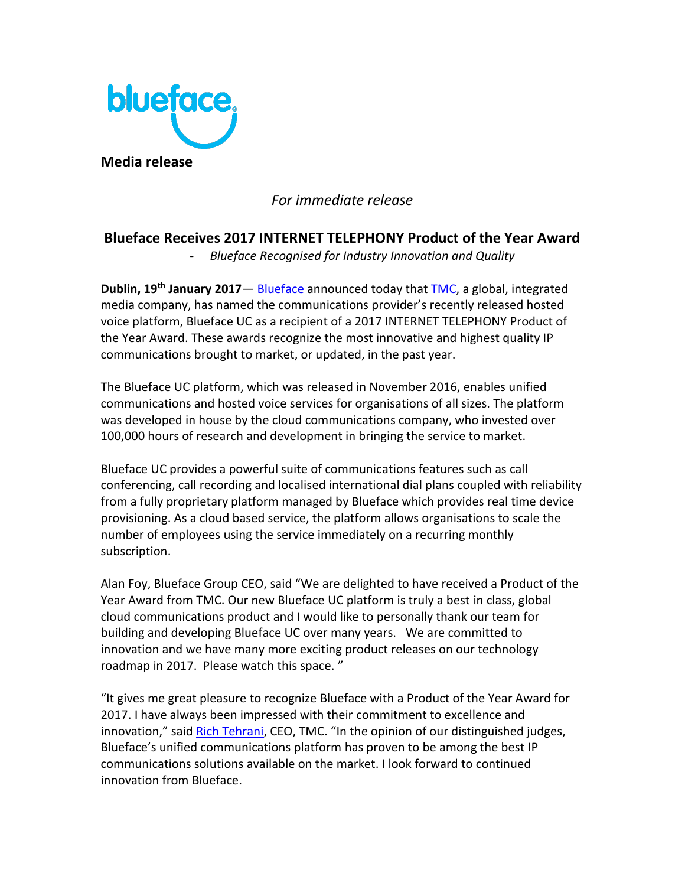

## *For immediate release*

# **Blueface Receives 2017 INTERNET TELEPHONY Product of the Year Award**

- *Blueface Recognised for Industry Innovation and Quality*

**Dublin, 19th January 2017**— [Blueface](https://www.blueface.com/) announced today that [TMC,](http://www.tmcnet.com/) a global, integrated media company, has named the communications provider's recently released hosted voice platform, Blueface UC as a recipient of a 2017 INTERNET TELEPHONY Product of the Year Award. These awards recognize the most innovative and highest quality IP communications brought to market, or updated, in the past year.

The Blueface UC platform, which was released in November 2016, enables unified communications and hosted voice services for organisations of all sizes. The platform was developed in house by the cloud communications company, who invested over 100,000 hours of research and development in bringing the service to market.

Blueface UC provides a powerful suite of communications features such as call conferencing, call recording and localised international dial plans coupled with reliability from a fully proprietary platform managed by Blueface which provides real time device provisioning. As a cloud based service, the platform allows organisations to scale the number of employees using the service immediately on a recurring monthly subscription.

Alan Foy, Blueface Group CEO, said "We are delighted to have received a Product of the Year Award from TMC. Our new Blueface UC platform is truly a best in class, global cloud communications product and I would like to personally thank our team for building and developing Blueface UC over many years. We are committed to innovation and we have many more exciting product releases on our technology roadmap in 2017. Please watch this space. "

"It gives me great pleasure to recognize Blueface with a Product of the Year Award for 2017. I have always been impressed with their commitment to excellence and innovation," said [Rich Tehrani](http://blog.tmcnet.com/blog/rich-tehrani), CEO, TMC. "In the opinion of our distinguished judges, Blueface's unified communications platform has proven to be among the best IP communications solutions available on the market. I look forward to continued innovation from Blueface.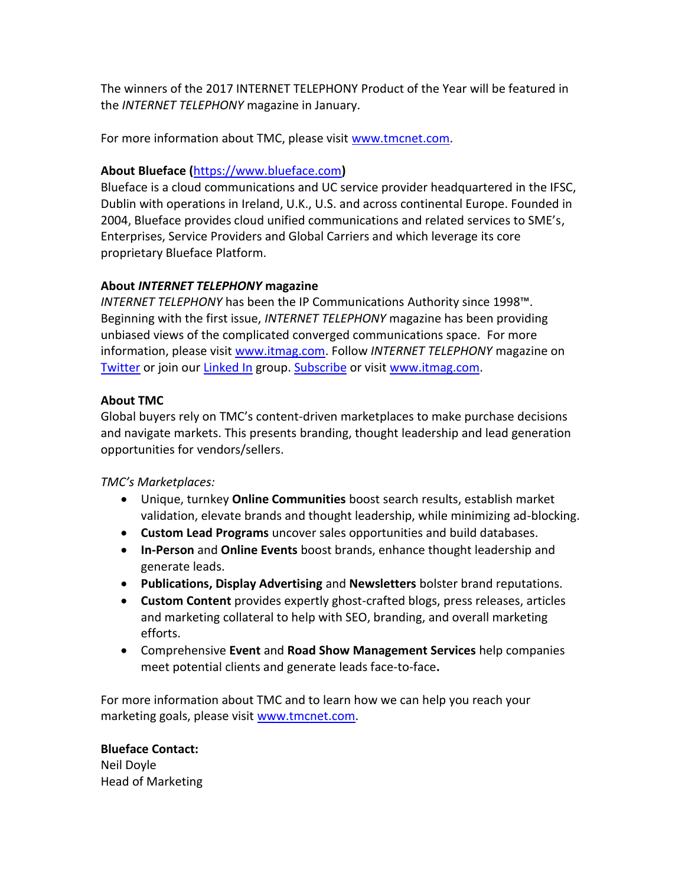The winners of the 2017 INTERNET TELEPHONY Product of the Year will be featured in the *INTERNET TELEPHONY* magazine in January.

For more information about TMC, please visit [www.tmcnet.com.](http://www.tmcnet.com/)

#### **About Blueface (**[https://www.blueface.com](https://www.blueface.com/)**)**

Blueface is a cloud communications and UC service provider headquartered in the IFSC, Dublin with operations in Ireland, U.K., U.S. and across continental Europe. Founded in 2004, Blueface provides cloud unified communications and related services to SME's, Enterprises, Service Providers and Global Carriers and which leverage its core proprietary Blueface Platform.

#### **About** *INTERNET TELEPHONY* **magazine**

*INTERNET TELEPHONY* has been the IP Communications Authority since 1998™. Beginning with the first issue, *INTERNET TELEPHONY* magazine has been providing unbiased views of the complicated converged communications space. For more information, please visit [www.itmag.com.](http://www.itmag.com/) Follow *INTERNET TELEPHONY* magazine on [Twitter](https://twitter.com/InternetTele) or join our [Linked In](http://www.linkedin.com/groups/InternetTelephony-4437330?trk=myg_ugrp_ovr) group. [Subscribe](http://www.tmcnet.com/scripts/magsub/free-subscriptions.aspx?magid=itdig&email-%5b%5bemail%5d%5d&Src=award) or visit [www.itmag.com.](http://www.itmag.com/)

#### **About TMC**

Global buyers rely on TMC's content-driven marketplaces to make purchase decisions and navigate markets. This presents branding, thought leadership and lead generation opportunities for vendors/sellers.

*TMC's Marketplaces:*

- Unique, turnkey **Online Communities** boost search results, establish market validation, elevate brands and thought leadership, while minimizing ad-blocking.
- **Custom Lead Programs** uncover sales opportunities and build databases.
- **In-Person** and **Online Events** boost brands, enhance thought leadership and generate leads.
- **Publications, Display Advertising** and **Newsletters** bolster brand reputations.
- **Custom Content** provides expertly ghost-crafted blogs, press releases, articles and marketing collateral to help with SEO, branding, and overall marketing efforts.
- Comprehensive **Event** and **Road Show Management Services** help companies meet potential clients and generate leads face-to-face**.**

For more information about TMC and to learn how we can help you reach your marketing goals, please visit [www.tmcnet.com.](http://www.tmcnet.com/)

## **Blueface Contact:**

Neil Doyle Head of Marketing